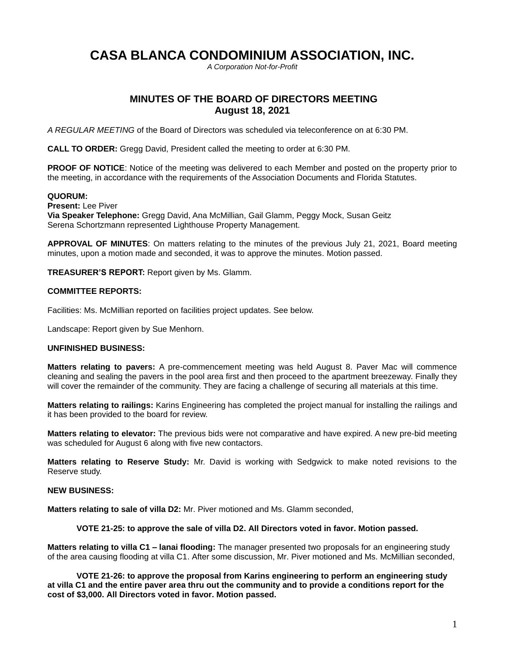# **CASA BLANCA CONDOMINIUM ASSOCIATION, INC.**

*A Corporation Not-for-Profit*

# **MINUTES OF THE BOARD OF DIRECTORS MEETING August 18, 2021**

*A REGULAR MEETING* of the Board of Directors was scheduled via teleconference on at 6:30 PM.

**CALL TO ORDER:** Gregg David, President called the meeting to order at 6:30 PM.

**PROOF OF NOTICE:** Notice of the meeting was delivered to each Member and posted on the property prior to the meeting, in accordance with the requirements of the Association Documents and Florida Statutes.

## **QUORUM:**

**Present:** Lee Piver **Via Speaker Telephone:** Gregg David, Ana McMillian, Gail Glamm, Peggy Mock, Susan Geitz Serena Schortzmann represented Lighthouse Property Management.

**APPROVAL OF MINUTES**: On matters relating to the minutes of the previous July 21, 2021, Board meeting minutes, upon a motion made and seconded, it was to approve the minutes. Motion passed.

**TREASURER'S REPORT:** Report given by Ms. Glamm.

#### **COMMITTEE REPORTS:**

Facilities: Ms. McMillian reported on facilities project updates. See below.

Landscape: Report given by Sue Menhorn.

#### **UNFINISHED BUSINESS:**

**Matters relating to pavers:** A pre-commencement meeting was held August 8. Paver Mac will commence cleaning and sealing the pavers in the pool area first and then proceed to the apartment breezeway. Finally they will cover the remainder of the community. They are facing a challenge of securing all materials at this time.

**Matters relating to railings:** Karins Engineering has completed the project manual for installing the railings and it has been provided to the board for review.

**Matters relating to elevator:** The previous bids were not comparative and have expired. A new pre-bid meeting was scheduled for August 6 along with five new contactors.

**Matters relating to Reserve Study:** Mr. David is working with Sedgwick to make noted revisions to the Reserve study.

# **NEW BUSINESS:**

**Matters relating to sale of villa D2:** Mr. Piver motioned and Ms. Glamm seconded,

**VOTE 21-25: to approve the sale of villa D2. All Directors voted in favor. Motion passed.**

**Matters relating to villa C1 – lanai flooding:** The manager presented two proposals for an engineering study of the area causing flooding at villa C1. After some discussion, Mr. Piver motioned and Ms. McMillian seconded,

**VOTE 21-26: to approve the proposal from Karins engineering to perform an engineering study at villa C1 and the entire paver area thru out the community and to provide a conditions report for the cost of \$3,000. All Directors voted in favor. Motion passed.**